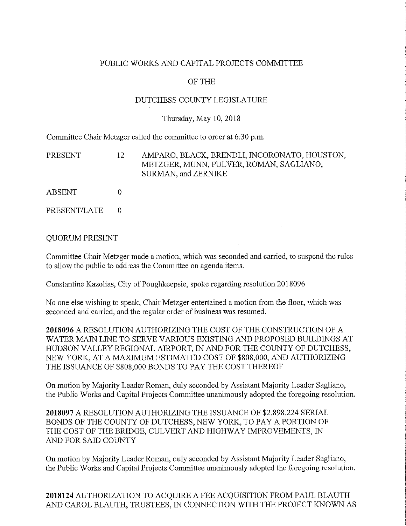# PUBLIC WORKS AND CAPITAL PROJECTS COMMITTEE

## OF THE

## DUTCHESS COUNTY LEGISLATURE

### Thursday, May 10, 2018

Committee Chair Metzger called the committee to order at 6:30 p.m.

| PRESENT | 12          | AMPARO, BLACK, BRENDLI, INCORONATO, HOUSTON,<br>METZGER, MUNN, PULVER, ROMAN, SAGLIANO,<br>SURMAN, and ZERNIKE |
|---------|-------------|----------------------------------------------------------------------------------------------------------------|
| ABSENT  | $^{\prime}$ |                                                                                                                |

PRESENT/LATE 0

### QUORUM PRESENT

Committee Chair Metzger made a motion, which was seconded and carried, to suspend the rules to allow the public to address the Committee on agenda items.

Constantine Kazolias, City of Poughkeepsie, spoke regarding resolution 2018096

No one else wishing to speak, Chair Metzger entertained a motion from the floor, which was seconded and carried, and the regular order of business was resumed.

**2018096** A RESOLUTION AUTHORIZING THE COST OF THE CONSTRUCTION OF A WATER MAIN LINE TO SERVE VARIOUS EXISTING AND PROPOSED BUILDINGS AT HUDSON VALLEY REGIONAL AIRPORT, IN AND FOR THE COUNTY OF DUTCHESS, NEW YORK, AT A MAXIMUM ESTIMATED COST OF \$808,000, AND AUTHORIZING THE ISSUANCE OF \$808,000 BONDS TO PAY THE COST THEREOF

On motion by Majority Leader Roman, duly seconded by Assistant Majority Leader Sagliano, the Public Works and Capital Projects Committee unanimously adopted the foregoing resolution.

**2018097** A RESOLUTION AUTHORIZING THE ISSUANCE OF \$2,898,224 SERIAL BONDS OF THE COUNTY OF DUTCHESS, NEW YORK, TO PAY A PORTION OF THE COST OF THE BRIDGE, CULVERT AND HIGHWAY IMPROVEMENTS, IN AND FOR SAID COUNTY

On motion by Majority Leader Roman, duly seconded by Assistant Majority Leader Sagliano, the Public Works and Capital Projects Committee unanimously adopted the foregoing resolution.

**2018124** AUTHORIZATION TO ACQUIRE A FEE ACQUISITION FROM PAUL BLAUTH AND CAROL BLAUTH, TRUSTEES, IN CONNECTION WITH THE PROJECT KNOWN AS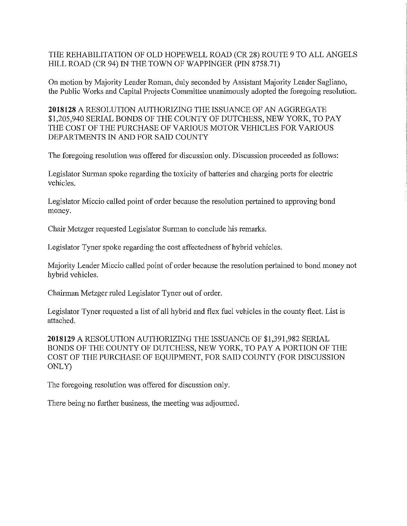THE REHABILITATION OF OLD HOPEWELL ROAD (CR 28) ROUTE 9 TO ALL ANGELS HILL ROAD (CR 94) IN THE TOWN OF WAPPINGER (PIN 8758.71)

On motion by Majority Leader Roman, duly seconded by Assistant Majority Leader Sagliano, the Public Works and Capital Projects Committee unanimously adopted the foregoing resolution.

**2018128** A RESOLUTION AUTHORIZING THE ISSUANCE OF AN AGGREGATE \$1,205,940 SERIAL BONDS OF THE COUNTY OF DUTCHESS, NEW YORK, TO PAY THE COST OF THE PURCHASE OF VARIOUS MOTOR VEHICLES FOR VARIOUS DEPARTMENTS IN AND FOR SAID COUNTY

The foregoing resolution was offered for discussion only. Discussion proceeded as follows:

Legislator Surman spoke regarding the toxicity of batteries and charging ports for electric vehicles.

Legislator Miccio called point of order because the resolution pertained to approving bond money.

Chair Metzger requested Legislator Surman to conclude his remarks.

Legislator Tyner spoke regarding the cost affectedness of hybrid vehicles.

Majority Leader Miccio called point of order because the resolution pertained to bond money not hybrid vehicles.

Chairman Metzger ruled Legislator Tyner out of order.

Legislator Tyner requested a list of all hybrid and flex fuel vehicles in the county fleet. List is attached.

**2018129** A RESOLUTION AUTHORIZING THE ISSUANCE OF \$1,391,982 SERIAL BONDS OF THE COUNTY OF DUTCHESS, NEW YORK, TO PAY A PORTION OF THE COST OF THE PURCHASE OF EQUIPMENT, FOR SAID COUNTY (FOR DISCUSSION ONLY)

The foregoing resolution was offered for discussion only.

There being no further business, the meeting was adjourned.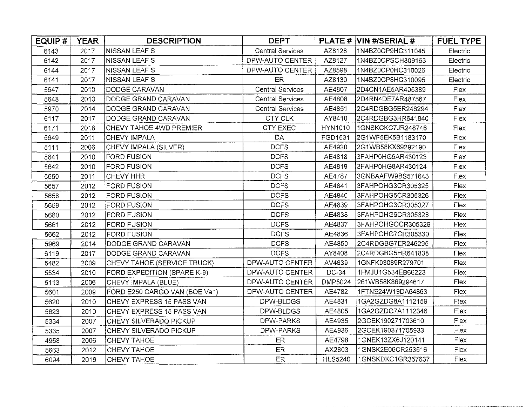| EQUIP# | <b>YEAR</b> | <b>DESCRIPTION</b>                 | <b>DEPT</b>             |                | PLATE # VIN #/SERIAL # | <b>FUEL TYPE</b> |
|--------|-------------|------------------------------------|-------------------------|----------------|------------------------|------------------|
| 6143   | 2017        | <b>NISSAN LEAF S</b>               | <b>Central Services</b> | AZ8128         | 1N4BZ0CP9HC311045      | Electric         |
| 6142   | 2017        | NISSAN LEAF S                      | DPW-AUTO CENTER         | AZ8127         | 1N4BZ0CPSCH309163      | Electric         |
| 6144   | 2017        | NISSAN LEAF S                      | DPW-AUTO CENTER         | AZ8598         | 1N4BZ0CP0HC310026      | Electric         |
| 6141   | 2017        | <b>NISSAN LEAF S</b>               | ER                      | AZ8130         | 1N4BZ0CP8HC310095      | Electric         |
| 5647   | 2010        | DODGE CARAVAN                      | <b>Central Services</b> | AE4807         | 2D4CN1AE5AR405389      | Flex             |
| 5648   | 2010        | DODGE GRAND CARAVAN                | <b>Central Services</b> | AE4808         | 2D4RN4DE7AR487567      | Flex             |
| 5970   | 2014        | DODGE GRAND CARAVAN                | <b>Central Services</b> | AE4851         | 2C4RDGBG5ER246294      | Flex             |
| 6117   | 2017        | DODGE GRAND CARAVAN                | CTY CLK                 | AY8410         | 2C4RDGBG3HR641840      | Flex             |
| 6171   | 2018        | CHEVY TAHOE 4WD PREMIER            | CTY EXEC                | HYN1010        | 1GNSKCKC7JR248746      | Flex             |
| 5649   | 2011        | CHEVY IMPALA                       | DA.                     | FGD1531        | 2G1WF5EK5B1183170      | Flex             |
| 5111   | 2006        | CHEVY IMPALA (SILVER)              | <b>DCFS</b>             | AE4920         | 2G1WB58KX69292190      | Flex             |
| 5641   | 2010        | <b>FORD FUSION</b>                 | <b>DCFS</b>             | AE4818         | 3FAHP0HG6AR430123      | Flex             |
| 5642   | 2010        | <b>FORD FUSION</b>                 | <b>DCFS</b>             | AE4819         | 3FAHP0HG8AR430124      | Flex             |
| 5650   | 2011        | <b>CHEVY HHR</b>                   | <b>DCFS</b>             | AE4787         | 3GNBAAFW9BS571643      | Flex             |
| 5657   | 2012        | <b>FORD FUSION</b>                 | <b>DCFS</b>             | AE4841         | 3FAHPOHG3CR305325      | Flex             |
| 5658   | 2012        | <b>FORD FUSION</b>                 | <b>DCFS</b>             | AE4840         | 3FAHPOHG5CR305326      | Flex             |
| 5659   | 2012        | <b>FORD FUSION</b>                 | <b>DCFS</b>             | AE4839         | 3FAHPOHG3CR305327      | Flex             |
| 5660   | 2012        | <b>FORD FUSION</b>                 | <b>DCFS</b>             | AE4838         | 3FAHPOHG9CR305328      | Flex             |
| 5661   | 2012        | <b>FORD FUSION</b>                 | DCFS                    | AE4837         | 3FAHPOHGOCR305329      | Flex             |
| 5662   | 2012        | FORD FUSION                        | DCFS                    | AE4836         | 3FAHPOHG7CR305330      | Flex             |
| 5969   | 2014        | DODGE GRAND CARAVAN                | <b>DCFS</b>             | AE4850         | 2C4RDGBG7ER246295      | Flex             |
| 6119   | 2017        | DODGE GRAND CARAVAN                | <b>DCFS</b>             | AY8408         | 2C4RDGBG5HR641838      | Flex             |
| 5482   | 2009        | CHEVY TAHOE (SERVICE TRUCK)        | DPW-AUTO CENTER         | AV4639         | 1GNFK03089R279701      | Flex             |
| 5534   | 2010        | <b>FORD EXPEDITION (SPARE K-9)</b> | DPW-AUTO CENTER         | DC-34          | 1FMJU1G534EB66223      | Flex             |
| 5113   | 2006        | CHEVY IMPALA (BLUE)                | DPW-AUTO CENTER         | <b>DMP5024</b> | 261WB58K869294617      | Flex             |
| 5601   | 2009        | FORD E250 CARGO VAN (BOE Van)      | DPW-AUTO CENTER         | AE4782         | 1FTNE24W19DA64863      | Flex             |
| 5620   | 2010        | CHEVY EXPRESS 15 PASS VAN          | DPW-BLDGS               | AE4831         | 1GA2GZDG8A1112159      | Flex             |
| 5623   | 2010        | CHEVY EXPRESS 15 PASS VAN          | DPW-BLDGS               | AE4805         | 1GA2GZDG7A1112346      | Flex             |
| 5334   | 2007        | CHEVY SILVERADO PICKUP             | DPW-PARKS               | AE4935         | 2GCEK190271703610      | Flex             |
| 5335   | 2007        | CHEVY SILVERADO PICKUP             | DPW-PARKS               | AE4936         | 2GCEK190371705933      | Flex             |
| 4958   | 2006        | CHEVY TAHOE                        | ER                      | AE4798         | 1GNEK13ZX6J120141      | Flex             |
| 5663   | 2012        | CHEVY TAHOE                        | ER                      | AX2803         | 1GNSK2E06CR253516      | Flex             |
| 6094   | 2016        | CHEVY TAHOE                        | <b>ER</b>               | <b>HLS5240</b> | 1GNSKDKC1GR357637      | Flex             |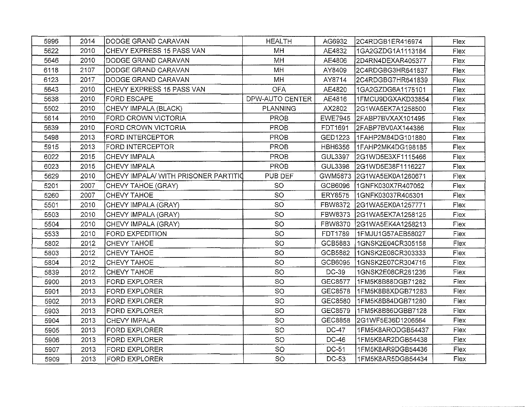| 5996 | 2014 | DODGE GRAND CARAVAN                  | <b>HEALTH</b>   | AG6932         | 2C4RDGB1ER416974   | Flex |
|------|------|--------------------------------------|-----------------|----------------|--------------------|------|
| 5622 | 2010 | <b>CHEVY EXPRESS 15 PASS VAN</b>     | MH              | AE4832         | 1GA2GZDG1A1113184  | Flex |
| 5646 | 2010 | DODGE GRAND CARAVAN                  | MH              | AE4806         | 2D4RN4DEXAR405377  | Flex |
| 6118 | 2107 | DODGE GRAND CARAVAN                  | MH              | AY8409         | 2C4RDGBG3HR641837  | Flex |
| 6123 | 2017 | DODGE GRAND CARAVAN                  | MH              | AY8714         | l2C4RDGBG7HR641839 | Flex |
| 5643 | 2010 | CHEVY EXPRESS 15 PASS VAN            | <b>OFA</b>      | AE4820         | 1GA2GZDG6A1175101  | Flex |
| 5638 | 2010 | <b>FORD ESCAPE</b>                   | DPW-AUTO CENTER | AE4816         | 1FMCU9DGXAKD33854  | Flex |
| 5502 | 2010 | CHEVY IMPALA (BLACK)                 | <b>PLANNING</b> | AX2802         | 2G1WA5EK7A1258500  | Flex |
| 5614 | 2010 | FORD CROWN VICTORIA                  | PROB            | <b>EWE7945</b> | 2FABP7BVXAX101495  | Flex |
| 5639 | 2010 | <b>FORD CROWN VICTORIA</b>           | <b>PROB</b>     | FDT1691        | 2FABP7BV0AX144386  | Flex |
| 5498 | 2013 | FORD INTERCEPTOR                     | <b>PROB</b>     | GED1223        | 1FAHP2M84DG101880  | Flex |
| 5915 | 2013 | <b>FORD INTERCEPTOR</b>              | <b>PROB</b>     | <b>HBH6356</b> | 1FAHP2MK4DG198185  | Flex |
| 6022 | 2015 | CHEVY IMPALA                         | <b>PROB</b>     | <b>GUL3397</b> | 2G1WD5E3XF1115466  | Flex |
| 6023 | 2015 | <b>CHEVY IMPALA</b>                  | <b>PROB</b>     | GUL3398        | 2G1WD5E38F1116227  | Flex |
| 5629 | 2010 | CHEVY IMPALA/ WITH PRISONER PARTITIO | PUB DEF         | GWM5873        | 2G1WA5EK0A1260671  | Flex |
| 5201 | 2007 | CHEVY TAHOE (GRAY)                   | <b>SO</b>       | GCB6096        | 1GNFK030X7R407062  | Flex |
| 5260 | 2007 | CHEVY TAHOE                          | SO              | <b>ERY8575</b> | 1GNFK03037R405301  | Flex |
| 5501 | 2010 | CHEVY IMPALA (GRAY)                  | SO              | <b>FBW8372</b> | 2G1WA5EK0A1257771  | Flex |
| 5503 | 2010 | CHEVY IMPALA (GRAY)                  | SO              | FBW8373        | 2G1WA5EK7A1258125  | Flex |
| 5504 | 2010 | CHEVY IMPALA (GRAY)                  | <b>SO</b>       | FBW8370        | 2G1WA5EK4A1258213  | Flex |
| 5533 | 2010 | <b>FORD EXPEDITION</b>               | SO              | FDT1789        | 1FMJU1G57AEB58027  | Flex |
| 5802 | 2012 | CHEVY TAHOE                          | SO              | GCB5883        | 1GNSK2E04CR305158  | Flex |
| 5803 | 2012 | CHEVY TAHOE                          | SO              | GCB5882        | 1GNSK2E08CR303333  | Flex |
| 5804 | 2012 | CHEVY TAHOE                          | SO              | GCB6095        | 1GNSK2E07CR304716  | Flex |
| 5839 | 2012 | CHEVY TAHOE                          | SO              | DC-39          | 1GNSK2E08CR281236  | Flex |
| 5900 | 2013 | <b>FORD EXPLORER</b>                 | SO              | GEC8577        | 1FM5K8B88DGB71282  | Flex |
| 5901 | 2013 | FORD EXPLORER                        | SO              | GEC8578        | 1FM5K8B8XDGB71283  | Flex |
| 5902 | 2013 | FORD EXPLORER                        | <b>SO</b>       | GEC8580        | 1FM5K8B84DGB71280  | Flex |
| 5903 | 2013 | <b>FORD EXPLORER</b>                 | SO              | GEC8579        | 1FM5K8B86DGBB7128  | Flex |
| 5904 | 2013 | CHEVY IMPALA                         | <b>SO</b>       | GEC8858        | 2G1WF5E36D1206564  | Flex |
| 5905 | 2013 | <b>FORD EXPLORER</b>                 | SO              | DC-47          | 1FM5K8ARODGB54437  | Flex |
| 5906 | 2013 | <b>FORD EXPLORER</b>                 | <b>SO</b>       | DC-46          | 1FM5K8AR2DGB54438  | Flex |
| 5907 | 2013 | FORD EXPLORER                        | SO              | DC-51          | 1FM5K8AR9DGB54436  | Flex |
| 5909 | 2013 | <b>FORD EXPLORER</b>                 | SO              | DC-53          | 1FM5K8AR5DGB54434  | Flex |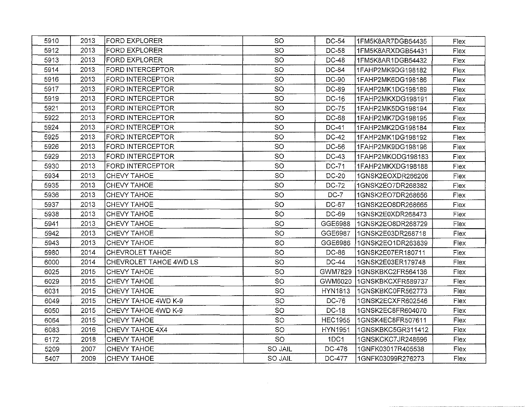| 5910 | 2013 | FORD EXPLORER           | SO             | DC-54          | 1FM5K8AR7DGB54435 | <b>Flex</b> |
|------|------|-------------------------|----------------|----------------|-------------------|-------------|
| 5912 | 2013 | <b>FORD EXPLORER</b>    | SO             | DC-58          | 1FM5K8ARXDGB54431 | Flex        |
| 5913 | 2013 | <b>FORD EXPLORER</b>    | SO             | <b>DC-48</b>   | 1FM5K8AR1DGB54432 | Flex        |
| 5914 | 2013 | FORD INTERCEPTOR        | <b>SO</b>      | DC-84          | 1FAHP2MK9DG198182 | Flex        |
| 5916 | 2013 | <b>FORD INTERCEPTOR</b> | SO             | DC-90          | 1FAHP2MK6DG198186 | Flex        |
| 5917 | 2013 | <b>FORD INTERCEPTOR</b> | SO             | DC-89          | 1FAHP2MK1DG198189 | Flex        |
| 5919 | 2013 | FORD INTERCEPTOR        | SO             | DC-16          | 1FAHP2MKXDG198191 | Flex        |
| 5921 | 2013 | FORD INTERCEPTOR        | SO             | DC-75          | 1FAHP2MK5DG198194 | Flex        |
| 5922 | 2013 | FORD INTERCEPTOR        | SO             | DC-68          | 1FAHP2MK7DG198195 | Flex        |
| 5924 | 2013 | FORD INTERCEPTOR        | SO             | DC-41          | 1FAHP2MK2DG198184 | Flex        |
| 5925 | 2013 | <b>FORD INTERCEPTOR</b> | SO             | DC-42          | 1FAHP2MK1DG198192 | Flex        |
| 5926 | 2013 | FORD INTERCEPTOR        | SO             | DC-56          | 1FAHP2MK9DG198196 | Flex        |
| 5929 | 2013 | FORD INTERCEPTOR        | SO             | DC-43          | 1FAHP2MKODG198183 | Flex        |
| 5930 | 2013 | FORD INTERCEPTOR        | <b>SO</b>      | DC-71          | 1FAHP2MKXDG198188 | Flex        |
| 5934 | 2013 | CHEVY TAHOE             | SO             | <b>DC-20</b>   | 1GNSK2EOXDR266206 | Flex        |
| 5935 | 2013 | CHEVY TAHOE             | SO             | DC-72          | 1GNSK2EO7DR268382 | Flex        |
| 5936 | 2013 | CHEVY TAHOE             | <b>SO</b>      | $DC-7$         | 1GNSK2EO7DR268656 | Flex        |
| 5937 | 2013 | CHEVY TAHOE             | <b>SO</b>      | DC-67          | 1GNSK2EO8DR268665 | Flex        |
| 5938 | 2013 | CHEVY TAHOE             | SO             | DC-69          | 1GNSK2E0XDR268473 | Flex        |
| 5941 | 2013 | CHEVY TAHOE             | <b>SO</b>      | GGE6988        | 1GNSK2EO8DR268729 | Flex        |
| 5942 | 2013 | CHEVY TAHOE             | SO             | GGE6987        | 1GNSK2E03DR268718 | Flex        |
| 5943 | 2013 | CHEVY TAHOE             | SO             | GGE6986        | 1GNSK2EO1DR263839 | Flex        |
| 5980 | 2014 | <b>CHEVROLET TAHOE</b>  | <b>SO</b>      | DC-86          | 1GNSK2E07ER180711 | <b>Flex</b> |
| 6000 | 2014 | CHEVROLET TAHOE 4WD LS  | SO             | DC-44          | 1GNSK2E03ER179748 | Flex        |
| 6025 | 2015 | CHEVY TAHOE             | <b>SO</b>      | GWM7829        | 1GNSKBKC2FR564136 | Flex        |
| 6029 | 2015 | CHEVY TAHOE             | SO             | GWM6020        | 1GNSKBKCXFR589737 | Flex        |
| 6031 | 2015 | CHEVY TAHOE             | <b>SO</b>      | <b>HYN1813</b> | 1GNSKBKC0FR562773 | Flex        |
| 6049 | 2015 | CHEVY TAHOE 4WD K-9     | <b>SO</b>      | DC-76          | 1GNSK2ECXFR602546 | Flex        |
| 6050 | 2015 | CHEVY TAHOE 4WD K-9     | SO             | DC-18          | 1GNSK2EC8FR604070 | Flex        |
| 6064 | 2015 | CHEVY TAHOE             | <b>SO</b>      | <b>HEC1955</b> | 1GNSK4EC8FR507611 | Flex        |
| 6083 | 2016 | CHEVY TAHOE 4X4         | <b>SO</b>      | <b>HYN1951</b> | 1GNSKBKC5GR311412 | Flex        |
| 6172 | 2018 | CHEVY TAHOE             | <b>SO</b>      | 1DC1           | 1GNSKCKC7JR248696 | Flex        |
| 5209 | 2007 | CHEVY TAHOE             | <b>SO JAIL</b> | DC-476         | 1GNFK03017R405538 | Flex        |
| 5407 | 2009 | CHEVY TAHOE             | <b>SO JAIL</b> | DC-477         | 1GNFK03099R276273 | Flex        |